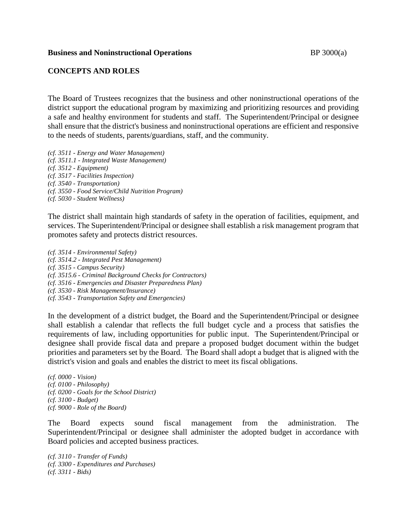## **Business and Noninstructional Operations BP** 3000(a)

## **CONCEPTS AND ROLES**

The Board of Trustees recognizes that the business and other noninstructional operations of the district support the educational program by maximizing and prioritizing resources and providing a safe and healthy environment for students and staff. The Superintendent/Principal or designee shall ensure that the district's business and noninstructional operations are efficient and responsive to the needs of students, parents/guardians, staff, and the community.

*(cf. 3511 - Energy and Water Management) (cf. 3511.1 - Integrated Waste Management) (cf. 3512 - Equipment) (cf. 3517 - Facilities Inspection) (cf. 3540 - Transportation) (cf. 3550 - Food Service/Child Nutrition Program) (cf. 5030 - Student Wellness)*

The district shall maintain high standards of safety in the operation of facilities, equipment, and services. The Superintendent/Principal or designee shall establish a risk management program that promotes safety and protects district resources.

*(cf. 3514 - Environmental Safety) (cf. 3514.2 - Integrated Pest Management) (cf. 3515 - Campus Security) (cf. 3515.6 - Criminal Background Checks for Contractors) (cf. 3516 - Emergencies and Disaster Preparedness Plan) (cf. 3530 - Risk Management/Insurance) (cf. 3543 - Transportation Safety and Emergencies)*

In the development of a district budget, the Board and the Superintendent/Principal or designee shall establish a calendar that reflects the full budget cycle and a process that satisfies the requirements of law, including opportunities for public input. The Superintendent/Principal or designee shall provide fiscal data and prepare a proposed budget document within the budget priorities and parameters set by the Board. The Board shall adopt a budget that is aligned with the district's vision and goals and enables the district to meet its fiscal obligations.

*(cf. 0000 - Vision) (cf. 0100 - Philosophy) (cf. 0200 - Goals for the School District) (cf. 3100 - Budget) (cf. 9000 - Role of the Board)*

The Board expects sound fiscal management from the administration. The Superintendent/Principal or designee shall administer the adopted budget in accordance with Board policies and accepted business practices.

*(cf. 3110 - Transfer of Funds) (cf. 3300 - Expenditures and Purchases) (cf. 3311 - Bids)*